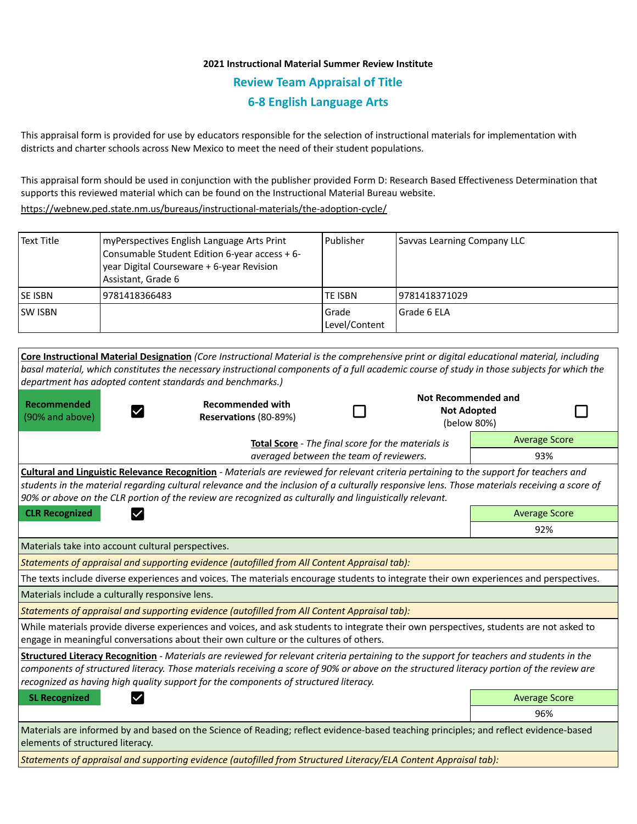## **2021 Instructional Material Summer Review Institute Review Team Appraisal of Title 6-8 English Language Arts**

This appraisal form is provided for use by educators responsible for the selection of instructional materials for implementation with districts and charter schools across New Mexico to meet the need of their student populations.

This appraisal form should be used in conjunction with the publisher provided Form D: Research Based Effectiveness Determination that supports this reviewed material which can be found on the Instructional Material Bureau website.

<https://webnew.ped.state.nm.us/bureaus/instructional-materials/the-adoption-cycle/>

| Text Title                                                                                    | myPerspectives English Language Arts Print<br>Consumable Student Edition 6-year access + 6-<br>year Digital Courseware + 6-year Revision<br>Assistant, Grade 6                                           | Publisher              | Savvas Learning Company LLC |                      |
|-----------------------------------------------------------------------------------------------|----------------------------------------------------------------------------------------------------------------------------------------------------------------------------------------------------------|------------------------|-----------------------------|----------------------|
| SE ISBN                                                                                       | 9781418366483                                                                                                                                                                                            | TE ISBN                | 9781418371029               |                      |
| <b>SW ISBN</b>                                                                                |                                                                                                                                                                                                          | Grade<br>Level/Content | Grade 6 ELA                 |                      |
|                                                                                               |                                                                                                                                                                                                          |                        |                             |                      |
|                                                                                               | Core Instructional Material Designation (Core Instructional Material is the comprehensive print or digital educational material, including                                                               |                        |                             |                      |
|                                                                                               | basal material, which constitutes the necessary instructional components of a full academic course of study in those subjects for which the<br>department has adopted content standards and benchmarks.) |                        |                             |                      |
|                                                                                               |                                                                                                                                                                                                          |                        | <b>Not Recommended and</b>  |                      |
| <b>Recommended</b>                                                                            | <b>Recommended with</b><br>$\checkmark$                                                                                                                                                                  |                        | <b>Not Adopted</b>          |                      |
| (90% and above)                                                                               | Reservations (80-89%)                                                                                                                                                                                    |                        |                             | (below 80%)          |
|                                                                                               |                                                                                                                                                                                                          |                        |                             | <b>Average Score</b> |
| Total Score - The final score for the materials is<br>averaged between the team of reviewers. |                                                                                                                                                                                                          |                        | 93%                         |                      |
|                                                                                               | Cultural and Linguistic Relevance Recognition - Materials are reviewed for relevant criteria pertaining to the support for teachers and                                                                  |                        |                             |                      |
|                                                                                               | students in the material regarding cultural relevance and the inclusion of a culturally responsive lens. Those materials receiving a score of                                                            |                        |                             |                      |
|                                                                                               | 90% or above on the CLR portion of the review are recognized as culturally and linguistically relevant.                                                                                                  |                        |                             |                      |
| <b>CLR Recognized</b>                                                                         |                                                                                                                                                                                                          |                        |                             | <b>Average Score</b> |
|                                                                                               |                                                                                                                                                                                                          |                        |                             | 92%                  |
|                                                                                               | Materials take into account cultural perspectives.                                                                                                                                                       |                        |                             |                      |
|                                                                                               | Statements of appraisal and supporting evidence (autofilled from All Content Appraisal tab):                                                                                                             |                        |                             |                      |
|                                                                                               | The texts include diverse experiences and voices. The materials encourage students to integrate their own experiences and perspectives.                                                                  |                        |                             |                      |
|                                                                                               | Materials include a culturally responsive lens.                                                                                                                                                          |                        |                             |                      |
|                                                                                               | Statements of appraisal and supporting evidence (autofilled from All Content Appraisal tab):                                                                                                             |                        |                             |                      |
|                                                                                               | While materials provide diverse experiences and voices, and ask students to integrate their own perspectives, students are not asked to                                                                  |                        |                             |                      |
|                                                                                               | engage in meaningful conversations about their own culture or the cultures of others.                                                                                                                    |                        |                             |                      |
|                                                                                               | Structured Literacy Recognition - Materials are reviewed for relevant criteria pertaining to the support for teachers and students in the                                                                |                        |                             |                      |
|                                                                                               | components of structured literacy. Those materials receiving a score of 90% or above on the structured literacy portion of the review are                                                                |                        |                             |                      |
|                                                                                               | recognized as having high quality support for the components of structured literacy.                                                                                                                     |                        |                             |                      |
| <b>SL Recognized</b>                                                                          | $\checkmark$                                                                                                                                                                                             |                        |                             | <b>Average Score</b> |
|                                                                                               |                                                                                                                                                                                                          |                        |                             | 96%                  |
| elements of structured literacy.                                                              | Materials are informed by and based on the Science of Reading; reflect evidence-based teaching principles; and reflect evidence-based                                                                    |                        |                             |                      |
|                                                                                               | Statements of appraisal and supporting evidence (autofilled from Structured Literacy/ELA Content Appraisal tab):                                                                                         |                        |                             |                      |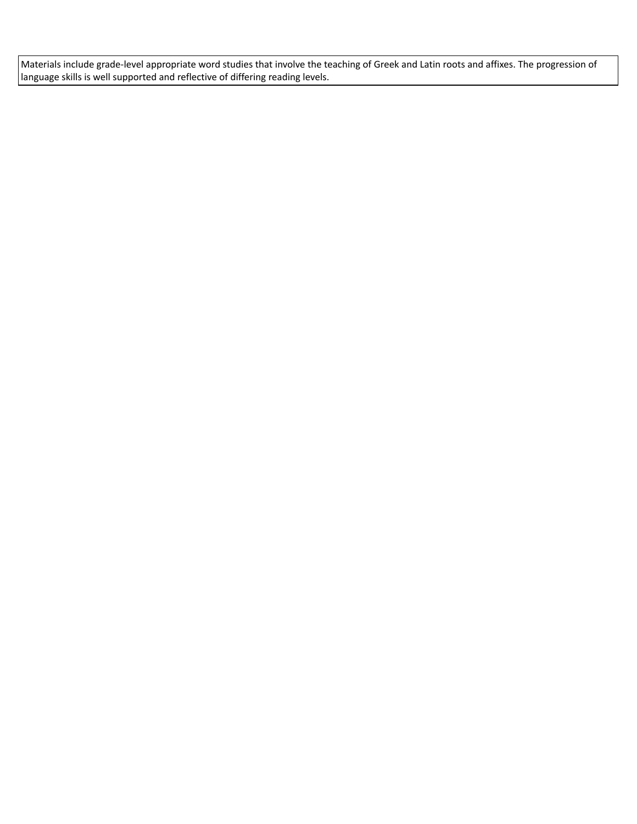Materials include grade-level appropriate word studies that involve the teaching of Greek and Latin roots and affixes. The progression of language skills is well supported and reflective of differing reading levels.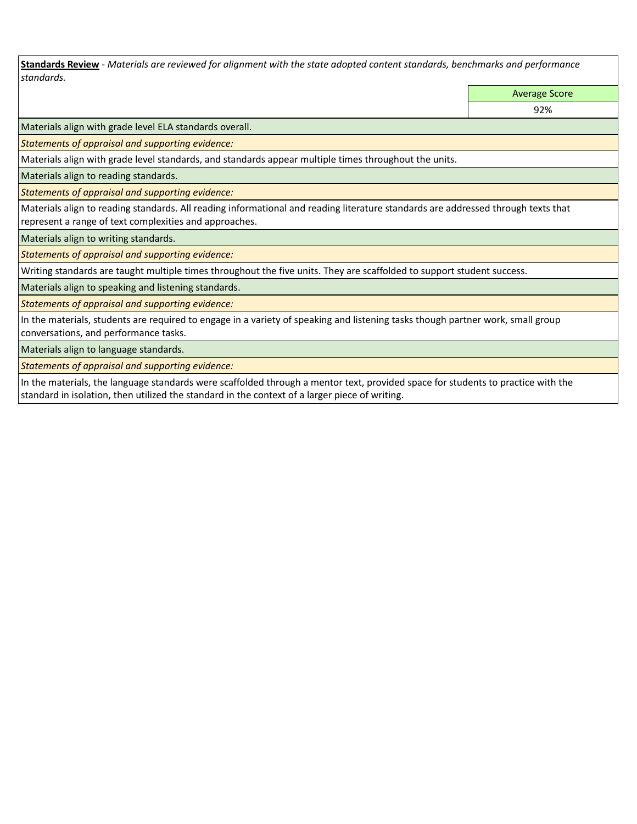**Standards Review** *- Materials are reviewed for alignment with the state adopted content standards, benchmarks and performance standards.*

Average Score

92%

Materials align with grade level ELA standards overall.

*Statements of appraisal and supporting evidence:* 

Materials align with grade level standards, and standards appear multiple times throughout the units.

Materials align to reading standards.

*Statements of appraisal and supporting evidence:* 

Materials align to reading standards. All reading informational and reading literature standards are addressed through texts that represent a range of text complexities and approaches.

Materials align to writing standards.

*Statements of appraisal and supporting evidence:* 

Writing standards are taught multiple times throughout the five units. They are scaffolded to support student success.

Materials align to speaking and listening standards.

*Statements of appraisal and supporting evidence:* 

In the materials, students are required to engage in a variety of speaking and listening tasks though partner work, small group conversations, and performance tasks.

Materials align to language standards.

*Statements of appraisal and supporting evidence:* 

In the materials, the language standards were scaffolded through a mentor text, provided space for students to practice with the standard in isolation, then utilized the standard in the context of a larger piece of writing.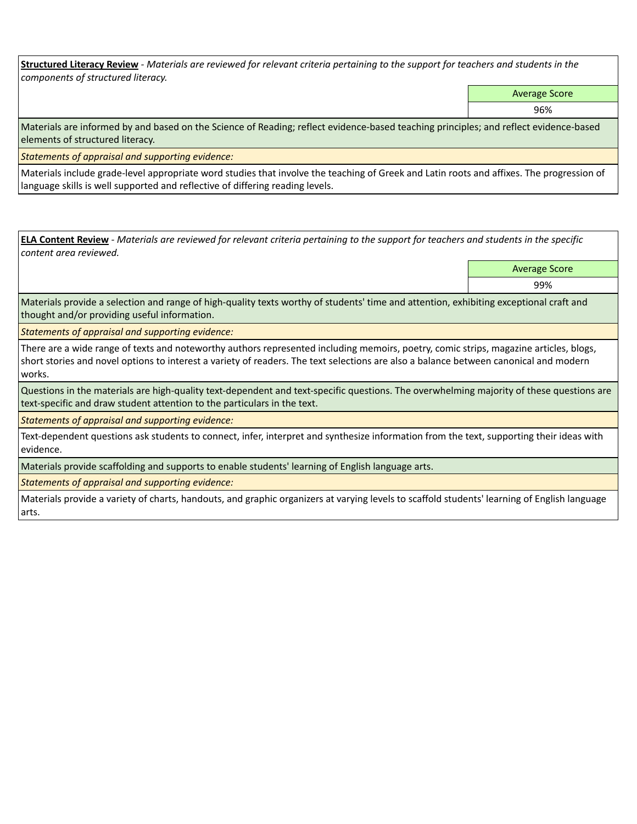**Structured Literacy Review** *- Materials are reviewed for relevant criteria pertaining to the support for teachers and students in the components of structured literacy.*

Average Score

96%

Materials are informed by and based on the Science of Reading; reflect evidence-based teaching principles; and reflect evidence-based elements of structured literacy.

*Statements of appraisal and supporting evidence:*

Materials include grade-level appropriate word studies that involve the teaching of Greek and Latin roots and affixes. The progression of language skills is well supported and reflective of differing reading levels.

**ELA Content Review** *- Materials are reviewed for relevant criteria pertaining to the support for teachers and students in the specific content area reviewed.*

Average Score

99%

Materials provide a selection and range of high-quality texts worthy of students' time and attention, exhibiting exceptional craft and thought and/or providing useful information.

*Statements of appraisal and supporting evidence:* 

There are a wide range of texts and noteworthy authors represented including memoirs, poetry, comic strips, magazine articles, blogs, short stories and novel options to interest a variety of readers. The text selections are also a balance between canonical and modern works.

Questions in the materials are high-quality text-dependent and text-specific questions. The overwhelming majority of these questions are text-specific and draw student attention to the particulars in the text.

*Statements of appraisal and supporting evidence:* 

Text-dependent questions ask students to connect, infer, interpret and synthesize information from the text, supporting their ideas with evidence.

Materials provide scaffolding and supports to enable students' learning of English language arts.

*Statements of appraisal and supporting evidence:* 

Materials provide a variety of charts, handouts, and graphic organizers at varying levels to scaffold students' learning of English language arts.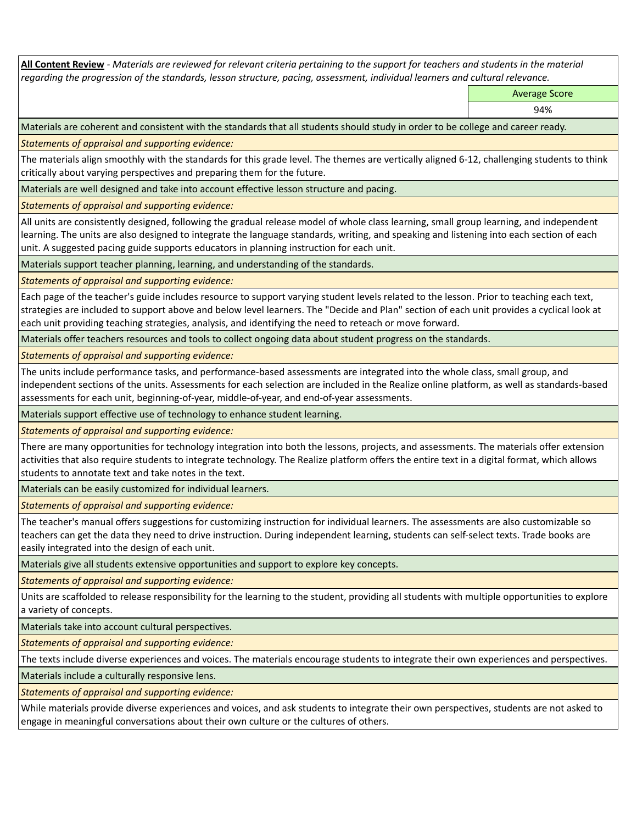**All Content Review** *- Materials are reviewed for relevant criteria pertaining to the support for teachers and students in the material regarding the progression of the standards, lesson structure, pacing, assessment, individual learners and cultural relevance.*

Average Score

94%

Materials are coherent and consistent with the standards that all students should study in order to be college and career ready.

*Statements of appraisal and supporting evidence:*

The materials align smoothly with the standards for this grade level. The themes are vertically aligned 6-12, challenging students to think critically about varying perspectives and preparing them for the future.

Materials are well designed and take into account effective lesson structure and pacing.

*Statements of appraisal and supporting evidence:*

All units are consistently designed, following the gradual release model of whole class learning, small group learning, and independent learning. The units are also designed to integrate the language standards, writing, and speaking and listening into each section of each unit. A suggested pacing guide supports educators in planning instruction for each unit.

Materials support teacher planning, learning, and understanding of the standards.

*Statements of appraisal and supporting evidence:*

Each page of the teacher's guide includes resource to support varying student levels related to the lesson. Prior to teaching each text, strategies are included to support above and below level learners. The "Decide and Plan" section of each unit provides a cyclical look at each unit providing teaching strategies, analysis, and identifying the need to reteach or move forward.

Materials offer teachers resources and tools to collect ongoing data about student progress on the standards.

*Statements of appraisal and supporting evidence:*

The units include performance tasks, and performance-based assessments are integrated into the whole class, small group, and independent sections of the units. Assessments for each selection are included in the Realize online platform, as well as standards-based assessments for each unit, beginning-of-year, middle-of-year, and end-of-year assessments.

Materials support effective use of technology to enhance student learning.

*Statements of appraisal and supporting evidence:*

There are many opportunities for technology integration into both the lessons, projects, and assessments. The materials offer extension activities that also require students to integrate technology. The Realize platform offers the entire text in a digital format, which allows students to annotate text and take notes in the text.

Materials can be easily customized for individual learners.

*Statements of appraisal and supporting evidence:* 

The teacher's manual offers suggestions for customizing instruction for individual learners. The assessments are also customizable so teachers can get the data they need to drive instruction. During independent learning, students can self-select texts. Trade books are easily integrated into the design of each unit.

Materials give all students extensive opportunities and support to explore key concepts.

*Statements of appraisal and supporting evidence:*

Units are scaffolded to release responsibility for the learning to the student, providing all students with multiple opportunities to explore a variety of concepts.

Materials take into account cultural perspectives.

*Statements of appraisal and supporting evidence:*

The texts include diverse experiences and voices. The materials encourage students to integrate their own experiences and perspectives.

Materials include a culturally responsive lens.

*Statements of appraisal and supporting evidence:*

While materials provide diverse experiences and voices, and ask students to integrate their own perspectives, students are not asked to engage in meaningful conversations about their own culture or the cultures of others.